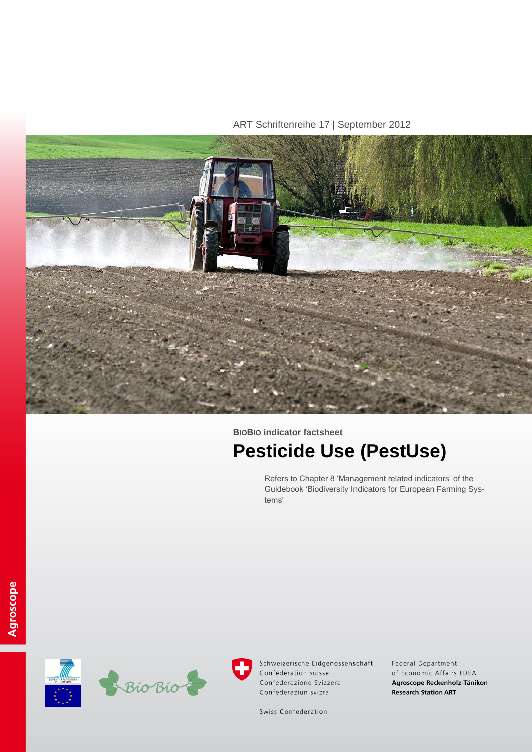ART Schriftenreihe 17 | September 2012



# **BIOBIO indicator factsheet Pesticide Use (PestUse)**

Refers to Chapter 8 'Management related indicators' of the Guidebook 'Biodiversity Indicators for European Farming Systems'





Schweizerische Eidgenossenschaft Confédération suisse Confederazione Svizzera Confederaziun svizra

Federal Department of Economic Affairs FDEA Agroscope Reckenholz-Tänikon **Research Station ART** 

Swiss Confederation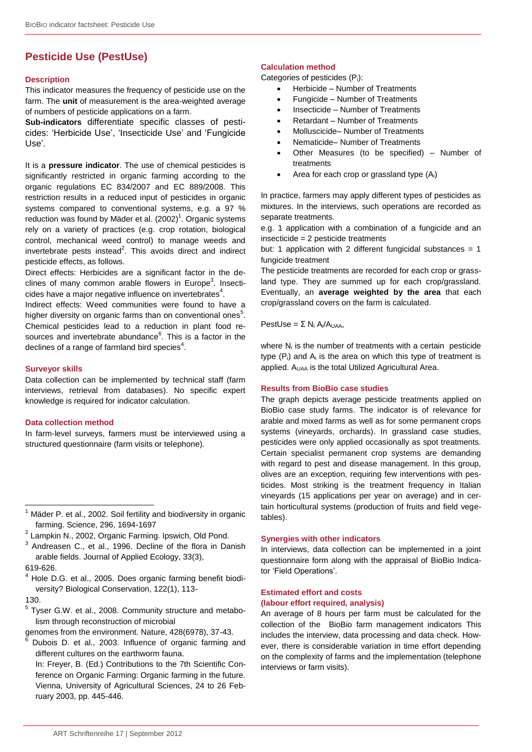# **Pesticide Use (PestUse)**

#### **Description**

This indicator measures the frequency of pesticide use on the farm. The **unit** of measurement is the area-weighted average of numbers of pesticide applications on a farm.

**Sub-indicators** differentiate specific classes of pesticides: 'Herbicide Use', 'Insecticide Use' and 'Fungicide Use'.

It is a **pressure indicator**. The use of chemical pesticides is significantly restricted in organic farming according to the organic regulations EC 834/2007 and EC 889/2008. This restriction results in a reduced input of pesticides in organic systems compared to conventional systems, e.g. a 97 % reduction was found by Mäder et al. (2002)<sup>1</sup>. Organic systems rely on a variety of practices (e.g. crop rotation, biological control, mechanical weed control) to manage weeds and invertebrate pests instead<sup>2</sup>. This avoids direct and indirect pesticide effects, as follows.

Direct effects: Herbicides are a significant factor in the declines of many common arable flowers in Europe<sup>3</sup>. Insecticides have a major negative influence on invertebrates<sup>4</sup>.

Indirect effects: Weed communities were found to have a higher diversity on organic farms than on conventional ones<sup>5</sup>. Chemical pesticides lead to a reduction in plant food resources and invertebrate abundance<sup>6</sup>. This is a factor in the declines of a range of farmland bird species<sup>4</sup>.

#### **Surveyor skills**

Data collection can be implemented by technical staff (farm interviews, retrieval from databases). No specific expert knowledge is required for indicator calculation.

#### **Data collection method**

In farm-level surveys, farmers must be interviewed using a structured questionnaire (farm visits or telephone).

619-626.

l

<sup>5</sup> Tyser G.W. et al., 2008. Community structure and metabolism through reconstruction of microbial

genomes from the environment. Nature, 428(6978), 37-43.

Dubois D. et al., 2003. Influence of organic farming and different cultures on the earthworm fauna.

In: Freyer, B. (Ed.) Contributions to the 7th Scientific Conference on Organic Farming: Organic farming in the future. Vienna, University of Agricultural Sciences, 24 to 26 February 2003, pp. 445-446.

#### **Calculation method**

Categories of pesticides (Pi):

- Herbicide Number of Treatments
- Fungicide Number of Treatments
- Insecticide Number of Treatments
- Retardant Number of Treatments
- Molluscicide– Number of Treatments
- Nematicide– Number of Treatments
- Other Measures (to be specified) Number of treatments
- Area for each crop or grassland type (Ai)

In practice, farmers may apply different types of pesticides as mixtures. In the interviews, such operations are recorded as separate treatments.

e.g. 1 application with a combination of a fungicide and an insecticide = 2 pesticide treatments

but: 1 application with 2 different fungicidal substances = 1 fungicide treatment

The pesticide treatments are recorded for each crop or grassland type. They are summed up for each crop/grassland. Eventually, an **average weighted by the area** that each crop/grassland covers on the farm is calculated.

PestUse = Σ N<sub>i</sub> A<sub>i</sub>/A<sub>UAA</sub>,

where  $N_i$  is the number of treatments with a certain pesticide type  $(P_i)$  and  $A_i$  is the area on which this type of treatment is applied. A<sub>UAA</sub> is the total Utilized Agricultural Area.

#### **Results from BioBio case studies**

The graph depicts average pesticide treatments applied on BioBio case study farms. The indicator is of relevance for arable and mixed farms as well as for some permanent crops systems (vineyards, orchards). In grassland case studies, pesticides were only applied occasionally as spot treatments. Certain specialist permanent crop systems are demanding with regard to pest and disease management. In this group, olives are an exception, requiring few interventions with pesticides. Most striking is the treatment frequency in Italian vineyards (15 applications per year on average) and in certain horticultural systems (production of fruits and field vegetables).

#### **Synergies with other indicators**

In interviews, data collection can be implemented in a joint questionnaire form along with the appraisal of BioBio Indicator 'Field Operations'.

## **Estimated effort and costs (labour effort required, analysis)**

An average of 8 hours per farm must be calculated for the collection of the BioBio farm management indicators This includes the interview, data processing and data check. However, there is considerable variation in time effort depending on the complexity of farms and the implementation (telephone interviews or farm visits).

Mäder P. et al., 2002. Soil fertility and biodiversity in organic farming. Science, 296, 1694-1697

<sup>&</sup>lt;sup>2</sup> Lampkin N., 2002, Organic Farming. Ipswich, Old Pond.

 $3$  Andreasen C., et al., 1996. Decline of the flora in Danish arable fields. Journal of Applied Ecology, 33(3),

<sup>4</sup> Hole D.G. et al., 2005. Does organic farming benefit biodiversity? Biological Conservation, 122(1), 113- 130.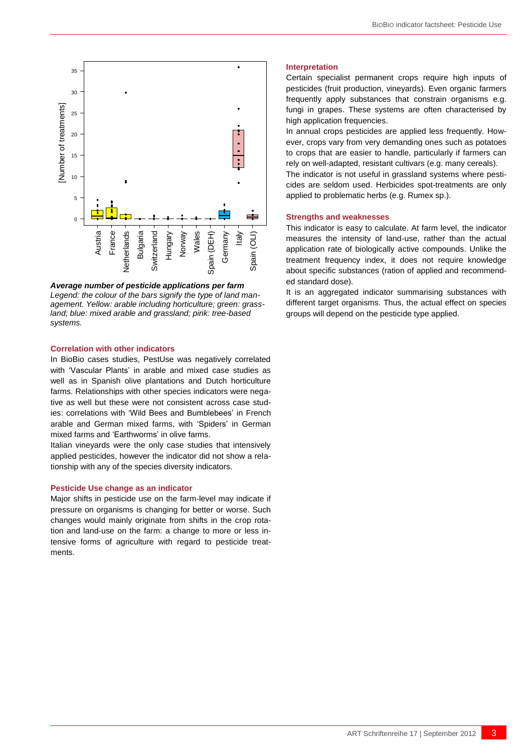

*Average number of pesticide applications per farm Legend: the colour of the bars signify the type of land management. Yellow: arable including horticulture; green: grassland; blue: mixed arable and grassland; pink: tree-based systems.*

#### **Correlation with other indicators**

Are the comparison of the schering of the schering of the schering of the schering of the schering of the schering of the schering of the schering of the schering of the schering of the schering of the schering of the sch In BioBio cases studies, PestUse was negatively correlated with 'Vascular Plants' in arable and mixed case studies as well as in Spanish olive plantations and Dutch horticulture farms. Relationships with other species indicators were negative as well but these were not consistent across case studies: correlations with 'Wild Bees and Bumblebees' in French arable and German mixed farms, with 'Spiders' in German mixed farms and 'Earthworms' in olive farms.

Italian vineyards were the only case studies that intensively applied pesticides, however the indicator did not show a relationship with any of the species diversity indicators.

#### **Pesticide Use change as an indicator**

Major shifts in pesticide use on the farm-level may indicate if pressure on organisms is changing for better or worse. Such changes would mainly originate from shifts in the crop rotation and land-use on the farm: a change to more or less intensive forms of agriculture with regard to pesticide treatments.

#### **Interpretation**

Certain specialist permanent crops require high inputs of pesticides (fruit production, vineyards). Even organic farmers frequently apply substances that constrain organisms e.g. fungi in grapes. These systems are often characterised by high application frequencies.

In annual crops pesticides are applied less frequently. However, crops vary from very demanding ones such as potatoes to crops that are easier to handle, particularly if farmers can rely on well-adapted, resistant cultivars (e.g. many cereals).

The indicator is not useful in grassland systems where pesticides are seldom used. Herbicides spot-treatments are only applied to problematic herbs (e.g. Rumex sp.).

#### **Strengths and weaknesses**

This indicator is easy to calculate. At farm level, the indicator measures the intensity of land-use, rather than the actual application rate of biologically active compounds. Unlike the treatment frequency index, it does not require knowledge about specific substances (ration of applied and recommended standard dose).

It is an aggregated indicator summarising substances with different target organisms. Thus, the actual effect on species groups will depend on the pesticide type applied.